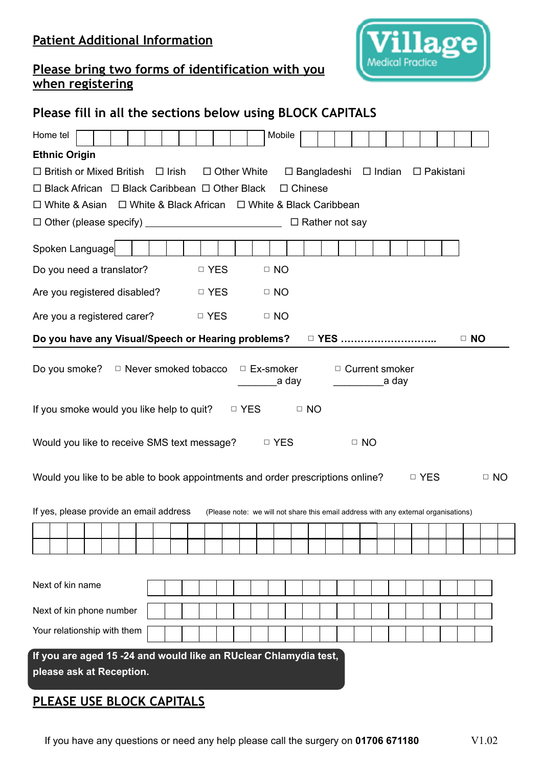### **Patient Additional Information**



#### **Please bring two forms of identification with you when registering**

### **Please fill in all the sections below using BLOCK CAPITALS**

| Home tel                                                                                                  |                                                                   |              |       |  |                    |                                                                                     | Mobile    |       |                |                       |                       |               |       |                  |  |           |  |
|-----------------------------------------------------------------------------------------------------------|-------------------------------------------------------------------|--------------|-------|--|--------------------|-------------------------------------------------------------------------------------|-----------|-------|----------------|-----------------------|-----------------------|---------------|-------|------------------|--|-----------|--|
| <b>Ethnic Origin</b>                                                                                      |                                                                   |              |       |  |                    |                                                                                     |           |       |                |                       |                       |               |       |                  |  |           |  |
| $\Box$ British or Mixed British                                                                           |                                                                   | $\Box$ Irish |       |  | $\Box$ Other White |                                                                                     |           |       |                | $\square$ Bangladeshi |                       | $\Box$ Indian |       | $\Box$ Pakistani |  |           |  |
| $\Box$ Black African $\Box$ Black Caribbean $\Box$ Other Black                                            |                                                                   |              |       |  |                    |                                                                                     |           |       | $\Box$ Chinese |                       |                       |               |       |                  |  |           |  |
| $\Box$ White & Asian $\Box$ White & Black African $\Box$ White & Black Caribbean                          |                                                                   |              |       |  |                    |                                                                                     |           |       |                |                       |                       |               |       |                  |  |           |  |
|                                                                                                           |                                                                   |              |       |  |                    |                                                                                     |           |       |                | $\Box$ Rather not say |                       |               |       |                  |  |           |  |
| Spoken Language                                                                                           |                                                                   |              |       |  |                    |                                                                                     |           |       |                |                       |                       |               |       |                  |  |           |  |
| Do you need a translator?                                                                                 |                                                                   |              | □ YES |  |                    |                                                                                     | $\Box$ NO |       |                |                       |                       |               |       |                  |  |           |  |
| Are you registered disabled?                                                                              |                                                                   |              | □ YES |  |                    |                                                                                     | $\Box$ NO |       |                |                       |                       |               |       |                  |  |           |  |
| Are you a registered carer?                                                                               |                                                                   |              | □ YES |  |                    |                                                                                     | $\Box$ NO |       |                |                       |                       |               |       |                  |  |           |  |
| Do you have any Visual/Speech or Hearing problems?                                                        |                                                                   |              |       |  |                    |                                                                                     |           |       |                | □ YES                 |                       |               |       |                  |  | $\Box$ NO |  |
| Do you smoke? $\Box$ Never smoked tobacco                                                                 |                                                                   |              |       |  |                    | □ Ex-smoker                                                                         |           | a day |                |                       | $\Box$ Current smoker |               | a day |                  |  |           |  |
| If you smoke would you like help to quit?<br>$\Box$ YES<br>$\Box$ NO                                      |                                                                   |              |       |  |                    |                                                                                     |           |       |                |                       |                       |               |       |                  |  |           |  |
|                                                                                                           | Would you like to receive SMS text message?<br>□ YES<br>$\Box$ NO |              |       |  |                    |                                                                                     |           |       |                |                       |                       |               |       |                  |  |           |  |
| Would you like to be able to book appointments and order prescriptions online?<br>$\Box$ NO<br>$\Box$ YES |                                                                   |              |       |  |                    |                                                                                     |           |       |                |                       |                       |               |       |                  |  |           |  |
| If yes, please provide an email address                                                                   |                                                                   |              |       |  |                    | (Please note: we will not share this email address with any external organisations) |           |       |                |                       |                       |               |       |                  |  |           |  |
|                                                                                                           |                                                                   |              |       |  |                    |                                                                                     |           |       |                |                       |                       |               |       |                  |  |           |  |
|                                                                                                           |                                                                   |              |       |  |                    |                                                                                     |           |       |                |                       |                       |               |       |                  |  |           |  |
|                                                                                                           |                                                                   |              |       |  |                    |                                                                                     |           |       |                |                       |                       |               |       |                  |  |           |  |
| Next of kin name                                                                                          |                                                                   |              |       |  |                    |                                                                                     |           |       |                |                       |                       |               |       |                  |  |           |  |
| Next of kin phone number                                                                                  |                                                                   |              |       |  |                    |                                                                                     |           |       |                |                       |                       |               |       |                  |  |           |  |
| Your relationship with them                                                                               |                                                                   |              |       |  |                    |                                                                                     |           |       |                |                       |                       |               |       |                  |  |           |  |
| If you are aged 15 -24 and would like an RUclear Chlamydia test,<br>please ask at Reception.              |                                                                   |              |       |  |                    |                                                                                     |           |       |                |                       |                       |               |       |                  |  |           |  |

### **PLEASE USE BLOCK CAPITALS**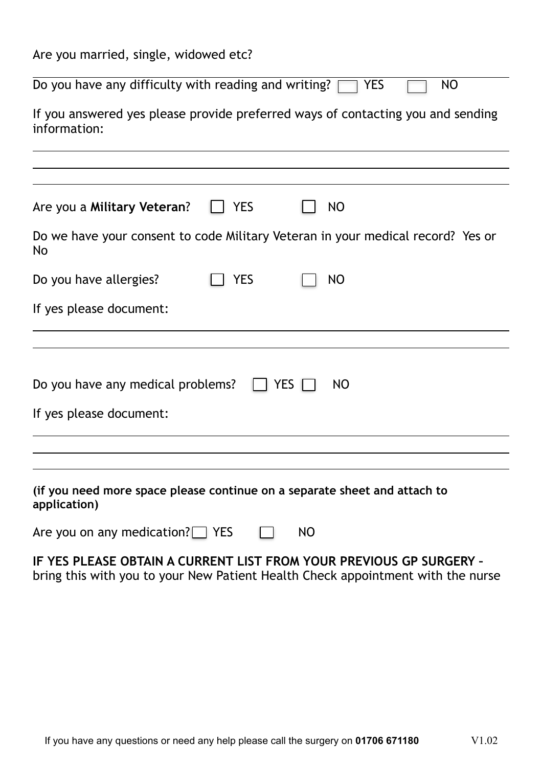| Are you married, single, widowed etc? |  |  |
|---------------------------------------|--|--|
|---------------------------------------|--|--|

Do you have any difficulty with reading and writing?  $\Box$  YES  $\Box$  NO

If you answered yes please provide preferred ways of contacting you and sending information:

| Are you a Military Veteran?       | <b>YES</b> | NO                                                                              |  |
|-----------------------------------|------------|---------------------------------------------------------------------------------|--|
|                                   |            |                                                                                 |  |
| <b>No</b>                         |            | Do we have your consent to code Military Veteran in your medical record? Yes or |  |
| Do you have allergies?            | YES        | <b>NO</b>                                                                       |  |
| If yes please document:           |            |                                                                                 |  |
|                                   |            |                                                                                 |  |
| Do you have any medical problems? |            | <b>YES</b><br>NO                                                                |  |
| If yes please document:           |            |                                                                                 |  |
|                                   |            |                                                                                 |  |
|                                   |            |                                                                                 |  |
| application)                      |            | (if you need more space please continue on a separate sheet and attach to       |  |

| Are you on any medication? $\Box$ YES |  | <b>NO</b> |
|---------------------------------------|--|-----------|
|---------------------------------------|--|-----------|

**IF YES PLEASE OBTAIN A CURRENT LIST FROM YOUR PREVIOUS GP SURGERY –**  bring this with you to your New Patient Health Check appointment with the nurse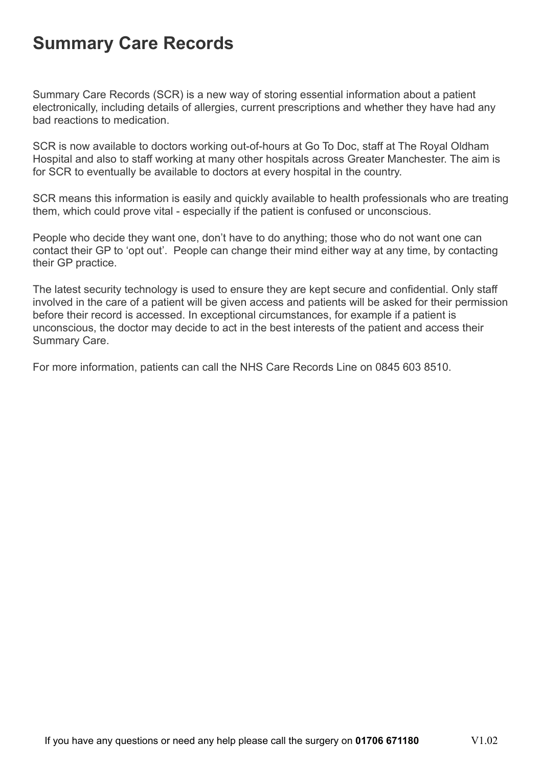## **Summary Care Records**

Summary Care Records (SCR) is a new way of storing essential information about a patient electronically, including details of allergies, current prescriptions and whether they have had any bad reactions to medication.

SCR is now available to doctors working out-of-hours at Go To Doc, staff at The Royal Oldham Hospital and also to staff working at many other hospitals across Greater Manchester. The aim is for SCR to eventually be available to doctors at every hospital in the country.

SCR means this information is easily and quickly available to health professionals who are treating them, which could prove vital - especially if the patient is confused or unconscious.

People who decide they want one, don't have to do anything; those who do not want one can contact their GP to 'opt out'. People can change their mind either way at any time, by contacting their GP practice.

The latest security technology is used to ensure they are kept secure and confidential. Only staff involved in the care of a patient will be given access and patients will be asked for their permission before their record is accessed. In exceptional circumstances, for example if a patient is unconscious, the doctor may decide to act in the best interests of the patient and access their Summary Care.

For more information, patients can call the NHS Care Records Line on 0845 603 8510.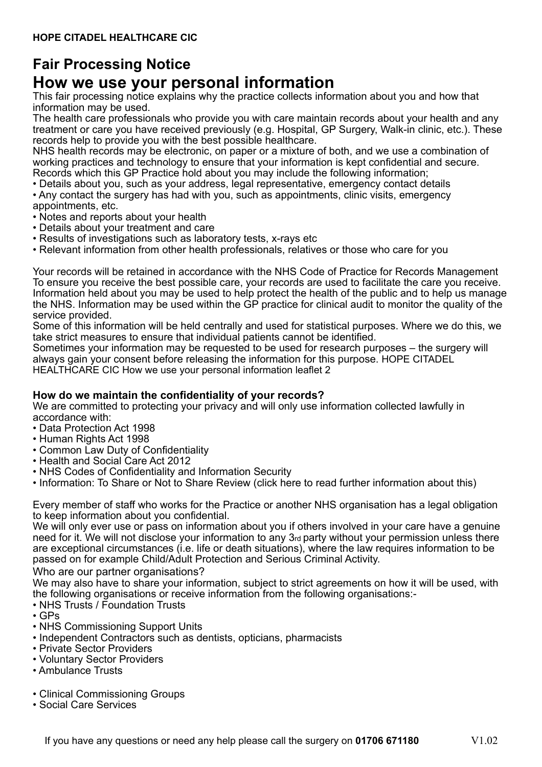### **Fair Processing Notice**

## **How we use your personal information**

This fair processing notice explains why the practice collects information about you and how that information may be used.

The health care professionals who provide you with care maintain records about your health and any treatment or care you have received previously (e.g. Hospital, GP Surgery, Walk-in clinic, etc.). These records help to provide you with the best possible healthcare.

NHS health records may be electronic, on paper or a mixture of both, and we use a combination of working practices and technology to ensure that your information is kept confidential and secure. Records which this GP Practice hold about you may include the following information;

• Details about you, such as your address, legal representative, emergency contact details

• Any contact the surgery has had with you, such as appointments, clinic visits, emergency appointments, etc.

- Notes and reports about your health
- Details about your treatment and care
- Results of investigations such as laboratory tests, x-rays etc
- Relevant information from other health professionals, relatives or those who care for you

Your records will be retained in accordance with the NHS Code of Practice for Records Management To ensure you receive the best possible care, your records are used to facilitate the care you receive. Information held about you may be used to help protect the health of the public and to help us manage the NHS. Information may be used within the GP practice for clinical audit to monitor the quality of the service provided.

Some of this information will be held centrally and used for statistical purposes. Where we do this, we take strict measures to ensure that individual patients cannot be identified.

Sometimes your information may be requested to be used for research purposes – the surgery will always gain your consent before releasing the information for this purpose. HOPE CITADEL HEALTHCARE CIC How we use your personal information leaflet 2

#### **How do we maintain the confidentiality of your records?**

We are committed to protecting your privacy and will only use information collected lawfully in accordance with:

- Data Protection Act 1998
- Human Rights Act 1998
- Common Law Duty of Confidentiality
- Health and Social Care Act 2012
- NHS Codes of Confidentiality and Information Security
- Information: To Share or Not to Share Review (click here to read further information about this)

Every member of staff who works for the Practice or another NHS organisation has a legal obligation to keep information about you confidential.

We will only ever use or pass on information about you if others involved in your care have a genuine need for it. We will not disclose your information to any 3rd party without your permission unless there are exceptional circumstances (i.e. life or death situations), where the law requires information to be passed on for example Child/Adult Protection and Serious Criminal Activity.

Who are our partner organisations?

We may also have to share your information, subject to strict agreements on how it will be used, with the following organisations or receive information from the following organisations:-

- NHS Trusts / Foundation Trusts
- GPs
- NHS Commissioning Support Units
- Independent Contractors such as dentists, opticians, pharmacists
- Private Sector Providers
- Voluntary Sector Providers
- Ambulance Trusts
- Clinical Commissioning Groups
- Social Care Services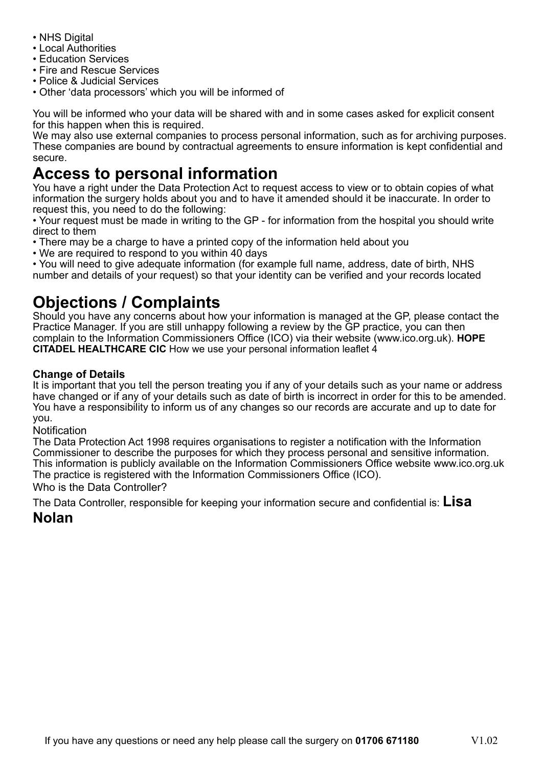- NHS Digital
- Local Authorities
- Education Services
- Fire and Rescue Services
- Police & Judicial Services
- Other 'data processors' which you will be informed of

You will be informed who your data will be shared with and in some cases asked for explicit consent for this happen when this is required.

We may also use external companies to process personal information, such as for archiving purposes. These companies are bound by contractual agreements to ensure information is kept confidential and secure.

## **Access to personal information**

You have a right under the Data Protection Act to request access to view or to obtain copies of what information the surgery holds about you and to have it amended should it be inaccurate. In order to request this, you need to do the following:

• Your request must be made in writing to the GP - for information from the hospital you should write direct to them

- There may be a charge to have a printed copy of the information held about you
- We are required to respond to you within 40 days

• You will need to give adequate information (for example full name, address, date of birth, NHS number and details of your request) so that your identity can be verified and your records located

## **Objections / Complaints**

Should you have any concerns about how your information is managed at the GP, please contact the Practice Manager. If you are still unhappy following a review by the GP practice, you can then complain to the Information Commissioners Office (ICO) via their website (www.ico.org.uk). **HOPE CITADEL HEALTHCARE CIC** How we use your personal information leaflet 4

#### **Change of Details**

It is important that you tell the person treating you if any of your details such as your name or address have changed or if any of your details such as date of birth is incorrect in order for this to be amended. You have a responsibility to inform us of any changes so our records are accurate and up to date for you.

**Notification** 

The Data Protection Act 1998 requires organisations to register a notification with the Information Commissioner to describe the purposes for which they process personal and sensitive information. This information is publicly available on the Information Commissioners Office website www.ico.org.uk The practice is registered with the Information Commissioners Office (ICO). Who is the Data Controller?

The Data Controller, responsible for keeping your information secure and confidential is: **Lisa** 

### **Nolan**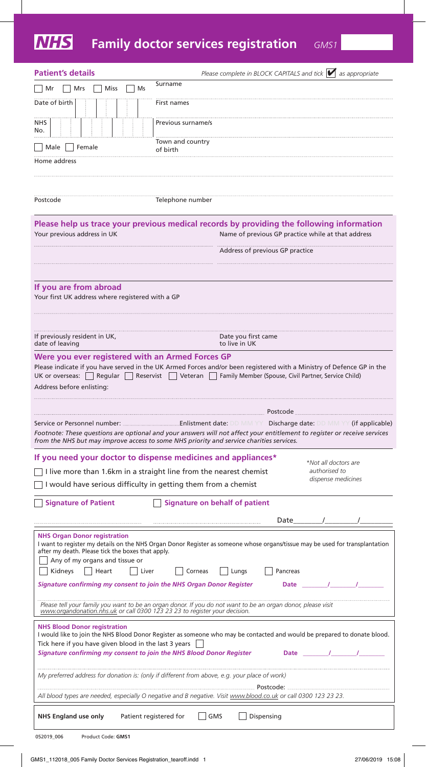# **Family doctor services registration** *GMS1*

| <b>Patient's details</b>                                                                                                                                            | Please complete in BLOCK CAPITALS and tick $\blacktriangleright$ as appropriate                                                                                                                                                           |
|---------------------------------------------------------------------------------------------------------------------------------------------------------------------|-------------------------------------------------------------------------------------------------------------------------------------------------------------------------------------------------------------------------------------------|
| Mr<br><b>Miss</b><br>Mrs<br>Ms                                                                                                                                      | Surname                                                                                                                                                                                                                                   |
| Date of birth                                                                                                                                                       | First names                                                                                                                                                                                                                               |
| <b>NHS</b><br>No.                                                                                                                                                   | Previous surname/s                                                                                                                                                                                                                        |
| Female<br>  Male                                                                                                                                                    | Town and country<br>of birth                                                                                                                                                                                                              |
| Home address                                                                                                                                                        |                                                                                                                                                                                                                                           |
|                                                                                                                                                                     |                                                                                                                                                                                                                                           |
| Postcode                                                                                                                                                            | Telephone number                                                                                                                                                                                                                          |
|                                                                                                                                                                     | Please help us trace your previous medical records by providing the following information                                                                                                                                                 |
| Your previous address in UK                                                                                                                                         | Name of previous GP practice while at that address                                                                                                                                                                                        |
|                                                                                                                                                                     | Address of previous GP practice                                                                                                                                                                                                           |
|                                                                                                                                                                     |                                                                                                                                                                                                                                           |
| If you are from abroad<br>Your first UK address where registered with a GP                                                                                          |                                                                                                                                                                                                                                           |
|                                                                                                                                                                     |                                                                                                                                                                                                                                           |
| If previously resident in UK,<br>date of leaving                                                                                                                    | Date you first came<br>to live in UK                                                                                                                                                                                                      |
| Address before enlisting:                                                                                                                                           | UK or overseas: Regular Reservist Veteran Family Member (Spouse, Civil Partner, Service Child)                                                                                                                                            |
|                                                                                                                                                                     | Postcode Postcode<br>Footnote: These questions are optional and your answers will not affect your entitlement to register or receive services<br>from the NHS but may improve access to some NHS priority and service charities services. |
|                                                                                                                                                                     | If you need your doctor to dispense medicines and appliances*<br>*Not all doctors are                                                                                                                                                     |
| I live more than 1.6km in a straight line from the nearest chemist                                                                                                  | authorised to<br>dispense medicines                                                                                                                                                                                                       |
| I would have serious difficulty in getting them from a chemist                                                                                                      |                                                                                                                                                                                                                                           |
| <b>Signature of Patient</b>                                                                                                                                         | <b>Signature on behalf of patient</b>                                                                                                                                                                                                     |
|                                                                                                                                                                     | Date                                                                                                                                                                                                                                      |
| <b>NHS Organ Donor registration</b><br>after my death. Please tick the boxes that apply.<br>Any of my organs and tissue or<br>Kidneys<br>$\vert$   Heart<br>  Liver | I want to register my details on the NHS Organ Donor Register as someone whose organs/tissue may be used for transplantation<br>Corneas<br>Lungs<br>Pancreas                                                                              |
| <b>Signature confirming my consent to join the NHS Organ Donor Register</b>                                                                                         | Date /                                                                                                                                                                                                                                    |
|                                                                                                                                                                     | Please tell your family you want to be an organ donor. If you do not want to be an organ donor, please visit                                                                                                                              |
| www.organdonation.nhs.uk or call 0300 123 23 23 to register your decision.                                                                                          |                                                                                                                                                                                                                                           |
| <b>NHS Blood Donor registration</b><br>Tick here if you have given blood in the last 3 years $\Box$                                                                 | I would like to join the NHS Blood Donor Register as someone who may be contacted and would be prepared to donate blood.                                                                                                                  |
| Signature confirming my consent to join the NHS Blood Donor Register                                                                                                | Date /                                                                                                                                                                                                                                    |
|                                                                                                                                                                     | My preferred address for donation is: (only if different from above, e.g. your place of work)                                                                                                                                             |
|                                                                                                                                                                     | All blood types are needed, especially O negative and B negative. Visit www.blood.co.uk or call 0300 123 23 23.                                                                                                                           |
| <b>NHS England use only</b>                                                                                                                                         | GMS<br>Dispensing<br>Patient registered for                                                                                                                                                                                               |
| 052019_006<br>Product Code: GMS1                                                                                                                                    |                                                                                                                                                                                                                                           |